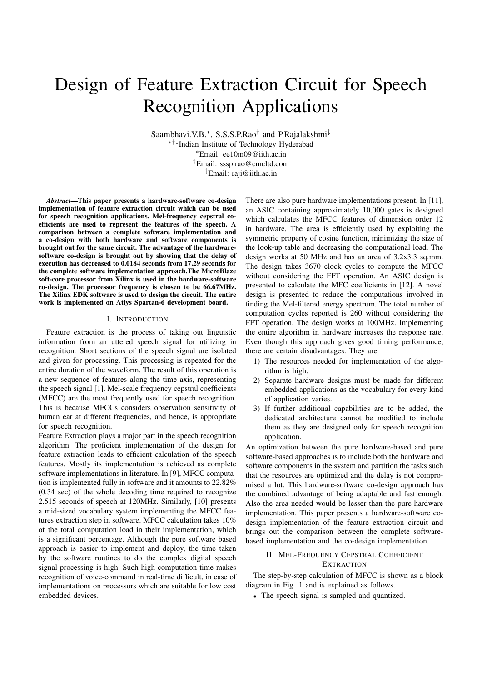# Design of Feature Extraction Circuit for Speech Recognition Applications

Saambhavi.V.B.∗, S.S.S.P.Rao† and P.Rajalakshmi‡ ∗†‡Indian Institute of Technology Hyderabad ∗Email: ee10m09@iith.ac.in †Email: sssp.rao@cmcltd.com <sup>‡</sup>Email: raji@iith.ac.in

Abstract—This paper presents a hardware-software co-design implementation of feature extraction circuit which can be used for speech recognition applications. Mel-frequency cepstral coefficients are used to represent the features of the speech. A comparison between a complete software implementation and a co-design with both hardware and software components is brought out for the same circuit. The advantage of the hardwaresoftware co-design is brought out by showing that the delay of execution has decreased to 0.0184 seconds from 17.29 seconds for the complete software implementation approach.The MicroBlaze soft-core processor from Xilinx is used in the hardware-software co-design. The processor frequency is chosen to be 66.67MHz. The Xilinx EDK software is used to design the circuit. The entire work is implemented on Atlys Spartan-6 development board.

#### I. INTRODUCTION

Feature extraction is the process of taking out linguistic information from an uttered speech signal for utilizing in recognition. Short sections of the speech signal are isolated and given for processing. This processing is repeated for the entire duration of the waveform. The result of this operation is a new sequence of features along the time axis, representing the speech signal [1]. Mel-scale frequency cepstral coefficients (MFCC) are the most frequently used for speech recognition. This is because MFCCs considers observation sensitivity of human ear at different frequencies, and hence, is appropriate for speech recognition.

Feature Extraction plays a major part in the speech recognition algorithm. The proficient implementation of the design for feature extraction leads to efficient calculation of the speech features. Mostly its implementation is achieved as complete software implementations in literature. In [9], MFCC computation is implemented fully in software and it amounts to 22.82% (0.34 sec) of the whole decoding time required to recognize 2.515 seconds of speech at 120MHz. Similarly, [10] presents a mid-sized vocabulary system implementing the MFCC features extraction step in software. MFCC calculation takes 10% of the total computation load in their implementation, which is a significant percentage. Although the pure software based approach is easier to implement and deploy, the time taken by the software routines to do the complex digital speech signal processing is high. Such high computation time makes recognition of voice-command in real-time difficult, in case of implementations on processors which are suitable for low cost embedded devices.

There are also pure hardware implementations present. In [11], an ASIC containing approximately 10,000 gates is designed which calculates the MFCC features of dimension order 12 in hardware. The area is efficiently used by exploiting the symmetric property of cosine function, minimizing the size of the look-up table and decreasing the computational load. The design works at 50 MHz and has an area of 3.2x3.3 sq.mm. The design takes 3670 clock cycles to compute the MFCC without considering the FFT operation. An ASIC design is presented to calculate the MFC coefficients in [12]. A novel design is presented to reduce the computations involved in finding the Mel-filtered energy spectrum. The total number of computation cycles reported is 260 without considering the FFT operation. The design works at 100MHz. Implementing the entire algorithm in hardware increases the response rate. Even though this approach gives good timing performance, there are certain disadvantages. They are

- 1) The resources needed for implementation of the algorithm is high.
- 2) Separate hardware designs must be made for different embedded applications as the vocabulary for every kind of application varies.
- 3) If further additional capabilities are to be added, the dedicated architecture cannot be modified to include them as they are designed only for speech recognition application.

An optimization between the pure hardware-based and pure software-based approaches is to include both the hardware and software components in the system and partition the tasks such that the resources are optimized and the delay is not compromised a lot. This hardware-software co-design approach has the combined advantage of being adaptable and fast enough. Also the area needed would be lesser than the pure hardware implementation. This paper presents a hardware-software codesign implementation of the feature extraction circuit and brings out the comparison between the complete softwarebased implementation and the co-design implementation.

# II. MEL-FREQUENCY CEPSTRAL COEFFICIENT **EXTRACTION**

The step-by-step calculation of MFCC is shown as a block diagram in Fig 1 and is explained as follows.

• The speech signal is sampled and quantized.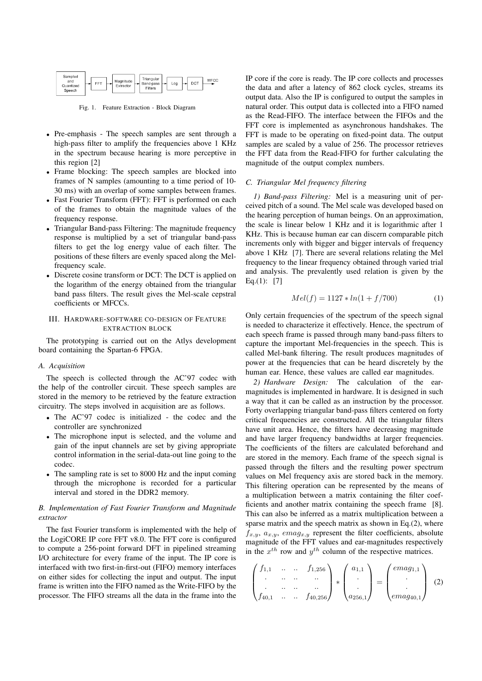| Sampled<br>and<br>Quantized<br>Speech | Trianqular<br>MFCC<br>Magnitude<br><b>DCT</b><br>FFT<br>Band-pass<br>Log<br>⊢<br>Extractor<br>Filters |
|---------------------------------------|-------------------------------------------------------------------------------------------------------|
|---------------------------------------|-------------------------------------------------------------------------------------------------------|

Fig. 1. Feature Extraction - Block Diagram

- Pre-emphasis The speech samples are sent through a high-pass filter to amplify the frequencies above 1 KHz in the spectrum because hearing is more perceptive in this region [2]
- Frame blocking: The speech samples are blocked into frames of N samples (amounting to a time period of 10- 30 ms) with an overlap of some samples between frames.
- Fast Fourier Transform (FFT): FFT is performed on each of the frames to obtain the magnitude values of the frequency response.
- Triangular Band-pass Filtering: The magnitude frequency response is multiplied by a set of triangular band-pass filters to get the log energy value of each filter. The positions of these filters are evenly spaced along the Melfrequency scale.
- Discrete cosine transform or DCT: The DCT is applied on the logarithm of the energy obtained from the triangular band pass filters. The result gives the Mel-scale cepstral coefficients or MFCCs.

## III. HARDWARE-SOFTWARE CO-DESIGN OF FEATURE EXTRACTION BLOCK

The prototyping is carried out on the Atlys development board containing the Spartan-6 FPGA.

#### A. Acquisition

The speech is collected through the AC'97 codec with the help of the controller circuit. These speech samples are stored in the memory to be retrieved by the feature extraction circuitry. The steps involved in acquisition are as follows.

- The AC'97 codec is initialized the codec and the controller are synchronized
- The microphone input is selected, and the volume and gain of the input channels are set by giving appropriate control information in the serial-data-out line going to the codec.
- The sampling rate is set to 8000 Hz and the input coming through the microphone is recorded for a particular interval and stored in the DDR2 memory.

## B. Implementation of Fast Fourier Transform and Magnitude extractor

The fast Fourier transform is implemented with the help of the LogiCORE IP core FFT v8.0. The FFT core is configured to compute a 256-point forward DFT in pipelined streaming I/O architecture for every frame of the input. The IP core is interfaced with two first-in-first-out (FIFO) memory interfaces on either sides for collecting the input and output. The input frame is written into the FIFO named as the Write-FIFO by the processor. The FIFO streams all the data in the frame into the

IP core if the core is ready. The IP core collects and processes the data and after a latency of 862 clock cycles, streams its output data. Also the IP is configured to output the samples in natural order. This output data is collected into a FIFO named as the Read-FIFO. The interface between the FIFOs and the FFT core is implemented as asynchronous handshakes. The FFT is made to be operating on fixed-point data. The output samples are scaled by a value of 256. The processor retrieves the FFT data from the Read-FIFO for further calculating the magnitude of the output complex numbers.

### C. Triangular Mel frequency filtering

1) Band-pass Filtering: Mel is a measuring unit of perceived pitch of a sound. The Mel scale was developed based on the hearing perception of human beings. On an approximation, the scale is linear below 1 KHz and it is logarithmic after 1 KHz. This is because human ear can discern comparable pitch increments only with bigger and bigger intervals of frequency above 1 KHz [7]. There are several relations relating the Mel frequency to the linear frequency obtained through varied trial and analysis. The prevalently used relation is given by the Eq. $(1):$  [7]

$$
Mel(f) = 1127 * ln(1 + f/700)
$$
 (1)

Only certain frequencies of the spectrum of the speech signal is needed to characterize it effectively. Hence, the spectrum of each speech frame is passed through many band-pass filters to capture the important Mel-frequencies in the speech. This is called Mel-bank filtering. The result produces magnitudes of power at the frequencies that can be heard discretely by the human ear. Hence, these values are called ear magnitudes.

2) Hardware Design: The calculation of the earmagnitudes is implemented in hardware. It is designed in such a way that it can be called as an instruction by the processor. Forty overlapping triangular band-pass filters centered on forty critical frequencies are constructed. All the triangular filters have unit area. Hence, the filters have decreasing magnitude and have larger frequency bandwidths at larger frequencies. The coefficients of the filters are calculated beforehand and are stored in the memory. Each frame of the speech signal is passed through the filters and the resulting power spectrum values on Mel frequency axis are stored back in the memory. This filtering operation can be represented by the means of a multiplication between a matrix containing the filter coefficients and another matrix containing the speech frame [8]. This can also be inferred as a matrix multiplication between a sparse matrix and the speech matrix as shown in Eq.(2), where  $f_{x,y}, a_{x,y}, emag_{x,y}$  represent the filter coefficients, absolute magnitude of the FFT values and ear-magnitudes respectively in the  $x^{th}$  row and  $y^{th}$  column of the respective matrices.

$$
\begin{pmatrix} f_{1,1} & \cdots & \cdots & f_{1,256} \\ \vdots & \cdots & \cdots & \cdots \\ f_{40,1} & \cdots & \cdots & f_{40,256} \end{pmatrix} * \begin{pmatrix} a_{1,1} \\ \vdots \\ a_{256,1} \end{pmatrix} = \begin{pmatrix} emag_{1,1} \\ \vdots \\ emag_{40,1} \end{pmatrix} (2)
$$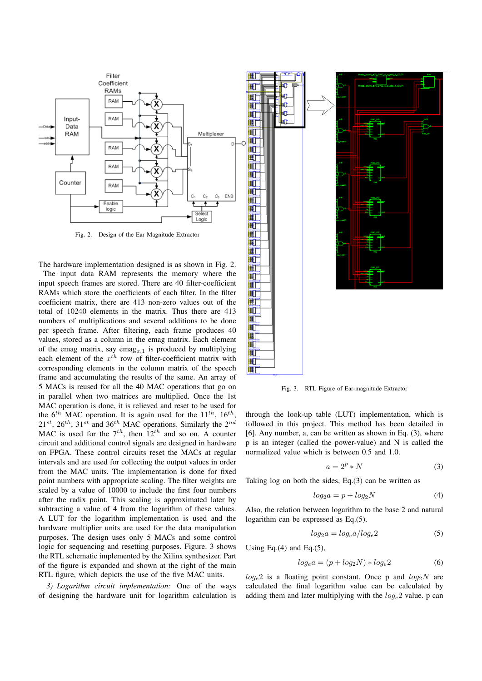

Fig. 2. Design of the Ear Magnitude Extractor

The hardware implementation designed is as shown in Fig. 2.

The input data RAM represents the memory where the input speech frames are stored. There are 40 filter-coefficient RAMs which store the coefficients of each filter. In the filter coefficient matrix, there are 413 non-zero values out of the total of 10240 elements in the matrix. Thus there are 413 numbers of multiplications and several additions to be done per speech frame. After filtering, each frame produces 40 values, stored as a column in the emag matrix. Each element of the emag matrix, say emag<sub>x,1</sub> is produced by multiplying each element of the  $x^{th}$  row of filter-coefficient matrix with corresponding elements in the column matrix of the speech frame and accumulating the results of the same. An array of 5 MACs is reused for all the 40 MAC operations that go on in parallel when two matrices are multiplied. Once the 1st MAC operation is done, it is relieved and reset to be used for the  $6^{th}$  MAC operation. It is again used for the  $11^{th}$ ,  $16^{th}$ ,  $21^{st}$ ,  $26^{th}$ ,  $31^{st}$  and  $36^{th}$  MAC operations. Similarly the  $2^{nd}$ MAC is used for the  $7<sup>th</sup>$ , then  $12<sup>th</sup>$  and so on. A counter circuit and additional control signals are designed in hardware on FPGA. These control circuits reset the MACs at regular intervals and are used for collecting the output values in order from the MAC units. The implementation is done for fixed point numbers with appropriate scaling. The filter weights are scaled by a value of 10000 to include the first four numbers after the radix point. This scaling is approximated later by subtracting a value of 4 from the logarithm of these values. A LUT for the logarithm implementation is used and the hardware multiplier units are used for the data manipulation purposes. The design uses only 5 MACs and some control logic for sequencing and resetting purposes. Figure. 3 shows the RTL schematic implemented by the Xilinx synthesizer. Part of the figure is expanded and shown at the right of the main RTL figure, which depicts the use of the five MAC units.

3) Logarithm circuit implementation: One of the ways of designing the hardware unit for logarithm calculation is



Fig. 3. RTL Figure of Ear-magnitude Extractor

through the look-up table (LUT) implementation, which is followed in this project. This method has been detailed in [6]. Any number, a, can be written as shown in Eq. (3), where p is an integer (called the power-value) and N is called the normalized value which is between 0.5 and 1.0.

$$
a = 2^p * N \tag{3}
$$

Taking log on both the sides, Eq.(3) can be written as

$$
log_2 a = p + log_2 N \tag{4}
$$

Also, the relation between logarithm to the base 2 and natural logarithm can be expressed as Eq.(5).

$$
log_2 a = log_e a / log_e 2 \tag{5}
$$

Using Eq. $(4)$  and Eq. $(5)$ ,

$$
log_e a = (p + log_2 N) * log_e 2
$$
 (6)

 $log_e 2$  is a floating point constant. Once p and  $log_2 N$  are calculated the final logarithm value can be calculated by adding them and later multiplying with the  $log_e 2$  value. p can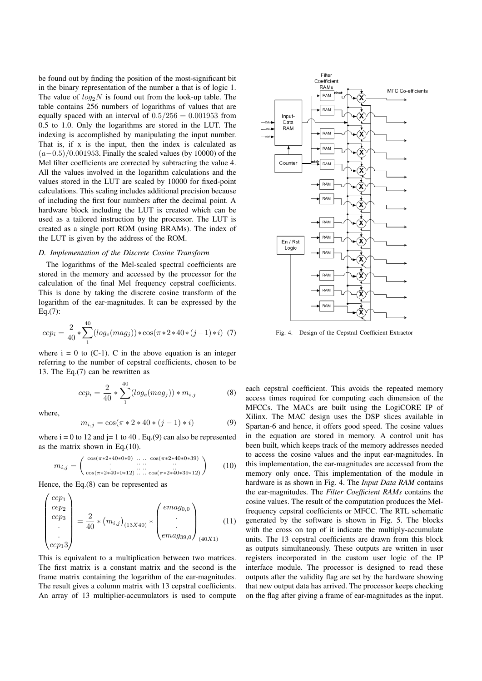be found out by finding the position of the most-significant bit in the binary representation of the number a that is of logic 1. The value of  $log_2 N$  is found out from the look-up table. The table contains 256 numbers of logarithms of values that are equally spaced with an interval of  $0.5/256 = 0.001953$  from 0.5 to 1.0. Only the logarithms are stored in the LUT. The indexing is accomplished by manipulating the input number. That is, if x is the input, then the index is calculated as  $(a-0.5)/0.001953$ . Finally the scaled values (by 10000) of the Mel filter coefficients are corrected by subtracting the value 4. All the values involved in the logarithm calculations and the values stored in the LUT are scaled by 10000 for fixed-point calculations. This scaling includes additional precision because of including the first four numbers after the decimal point. A hardware block including the LUT is created which can be used as a tailored instruction by the processor. The LUT is created as a single port ROM (using BRAMs). The index of the LUT is given by the address of the ROM.

## D. Implementation of the Discrete Cosine Transform

The logarithms of the Mel-scaled spectral coefficients are stored in the memory and accessed by the processor for the calculation of the final Mel frequency cepstral coefficients. This is done by taking the discrete cosine transform of the logarithm of the ear-magnitudes. It can be expressed by the Eq.(7):

$$
cep_i = \frac{2}{40} * \sum_{1}^{40} (log_e(mag_j)) * \cos(\pi * 2 * 40 * (j - 1) * i) \tag{7}
$$

where  $i = 0$  to  $(C-1)$ . C in the above equation is an integer referring to the number of cepstral coefficients, chosen to be 13. The Eq.(7) can be rewritten as

$$
cep_i = \frac{2}{40} * \sum_{1}^{40} (log_e(mag_j)) * m_{i,j}
$$
 (8)

where,

 $\overline{\phantom{a}}$ 

$$
m_{i,j} = \cos(\pi * 2 * 40 * (j - 1) * i)
$$
 (9)

where  $i = 0$  to 12 and  $j = 1$  to 40. Eq.(9) can also be represented as the matrix shown in Eq.(10).

$$
m_{i,j} = \begin{pmatrix} \cos(\pi * 2 * 40 * 0 * 0) & \dots & \cos(\pi * 2 * 40 * 0 * 39) \\ \dots & \dots & \dots \\ \cos(\pi * 2 * 40 * 0 * 12) & \dots & \cos(\pi * 2 * 40 * 39 * 12) \end{pmatrix}
$$
 (10)

Hence, the Eq.(8) can be represented as

$$
\begin{pmatrix} cep_1\\cep_2\\cep_3\\ \vdots\\cep_13\end{pmatrix} = \frac{2}{40} * (m_{i,j})_{(13X40)} * \begin{pmatrix} emag_{0,0} \\ \vdots \\ emag_{39,0} \end{pmatrix}_{(40X1)} \tag{11}
$$

This is equivalent to a multiplication between two matrices. The first matrix is a constant matrix and the second is the frame matrix containing the logarithm of the ear-magnitudes. The result gives a column matrix with 13 cepstral coefficients. An array of 13 multiplier-accumulators is used to compute



Fig. 4. Design of the Cepstral Coefficient Extractor

each cepstral coefficient. This avoids the repeated memory access times required for computing each dimension of the MFCCs. The MACs are built using the LogiCORE IP of Xilinx. The MAC design uses the DSP slices available in Spartan-6 and hence, it offers good speed. The cosine values in the equation are stored in memory. A control unit has been built, which keeps track of the memory addresses needed to access the cosine values and the input ear-magnitudes. In this implementation, the ear-magnitudes are accessed from the memory only once. This implementation of the module in hardware is as shown in Fig. 4. The Input Data RAM contains the ear-magnitudes. The Filter Coefficient RAMs contains the cosine values. The result of the computation produces the Melfrequency cepstral coefficients or MFCC. The RTL schematic generated by the software is shown in Fig. 5. The blocks with the cross on top of it indicate the multiply-accumulate units. The 13 cepstral coefficients are drawn from this block as outputs simultaneously. These outputs are written in user registers incorporated in the custom user logic of the IP interface module. The processor is designed to read these outputs after the validity flag are set by the hardware showing that new output data has arrived. The processor keeps checking on the flag after giving a frame of ear-magnitudes as the input.